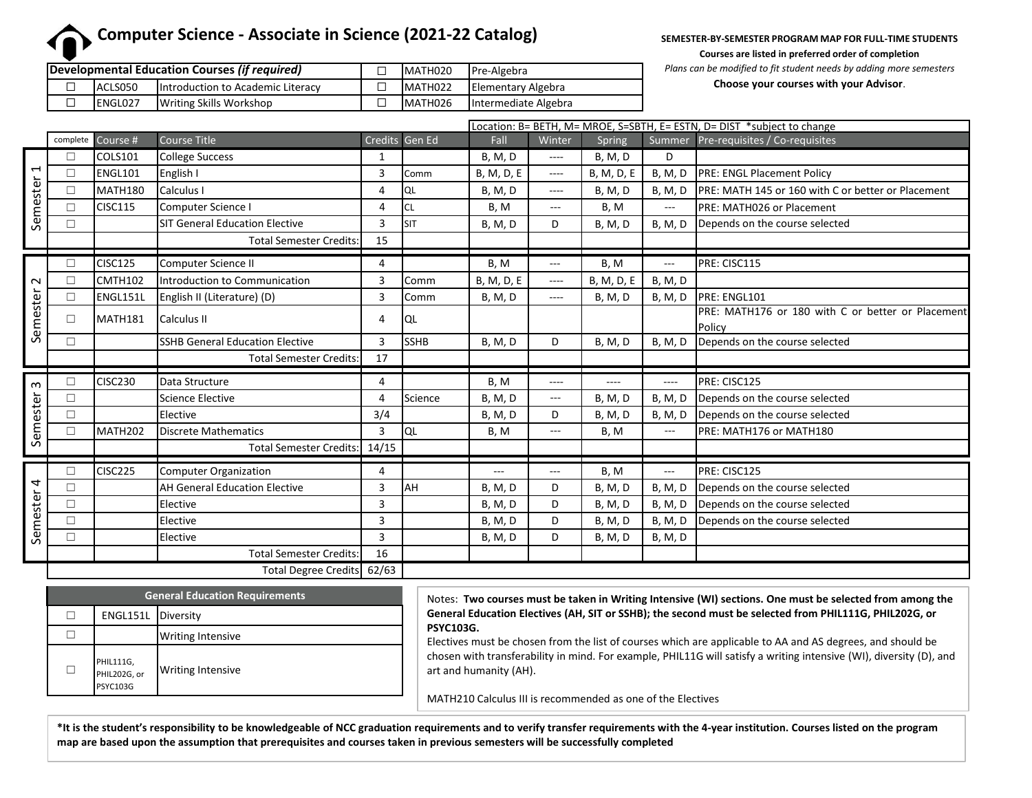# **Computer Science - Associate in Science (2021-22 Catalog)**

**SEMESTER-BY-SEMESTER PROGRAM MAP FOR FULL-TIME STUDENTS** 

**Courses are listed in preferred order of completion**

|                 | Developmental Education Courses (if required) | MATH020 | Pre-Algebra          |
|-----------------|-----------------------------------------------|---------|----------------------|
| ACLS050         | <b>Introduction to Academic Literacy</b>      | MATH022 | Elementary Algebra   |
| <b>IENGLO27</b> | <b>Writing Skills Workshop</b>                | MATH026 | Intermediate Algebra |

*Plans can be modified to fit student needs by adding more semesters*

**Choose your courses with your Advisor**.

|                      |          |                     |                                        |                |                |                |          |                 |                | Location: B= BETH, M= MROE, S=SBTH, E= ESTN, D= DIST *subject to change |
|----------------------|----------|---------------------|----------------------------------------|----------------|----------------|----------------|----------|-----------------|----------------|-------------------------------------------------------------------------|
|                      | complete | Course #            | <b>Course Title</b>                    |                | Credits Gen Ed | Fall           | Winter   | Spring          |                | Summer Pre-requisites / Co-requisites                                   |
| Ţ<br>Semester        |          | <b>COLS101</b>      | <b>College Success</b>                 | 1              |                | <b>B, M, D</b> | ----     | <b>B, M, D</b>  | D              |                                                                         |
|                      | П        | <b>ENGL101</b>      | English I                              | 3              | Comm           | B, M, D, E     | ----     | B, M, D, E      | <b>B, M, D</b> | PRE: ENGL Placement Policy                                              |
|                      | П        | MATH <sub>180</sub> | Calculus I                             | 4              | QL             | <b>B, M, D</b> | ----     | <b>B, M, D</b>  | <b>B, M, D</b> | PRE: MATH 145 or 160 with C or better or Placement                      |
|                      | П        | <b>CISC115</b>      | Computer Science I                     | 4              | CL             | B, M           | $\cdots$ | B, M            | $---$          | <b>PRE: MATH026 or Placement</b>                                        |
|                      | П        |                     | <b>SIT General Education Elective</b>  | 3              | Isit           | <b>B, M, D</b> | D        | <b>B, M, D</b>  | <b>B. M. D</b> | Depends on the course selected                                          |
|                      |          |                     | <b>Total Semester Credits:</b>         | 15             |                |                |          |                 |                |                                                                         |
| $\sim$<br>Semester   | П        | <b>CISC125</b>      | Computer Science II                    | 4              |                | B, M           | $---$    | B, M            | $---$          | PRE: CISC115                                                            |
|                      | $\Box$   | <b>CMTH102</b>      | Introduction to Communication          | 3              | Comm           | B, M, D, E     | ----     | B, M, D, E      | <b>B, M, D</b> |                                                                         |
|                      | П        | ENGL151L            | English II (Literature) (D)            | 3              | Comm           | <b>B, M, D</b> | ----     | <b>B, M, D</b>  | <b>B, M, D</b> | PRE: ENGL101                                                            |
|                      | $\Box$   | MATH181             | Calculus II                            | 4              | IQL            |                |          |                 |                | PRE: MATH176 or 180 with C or better or Placement<br>Policy             |
|                      | П        |                     | <b>SSHB General Education Elective</b> | $\overline{3}$ | <b>SSHB</b>    | <b>B, M, D</b> | D        | <b>B</b> , M, D | <b>B, M, D</b> | Depends on the course selected                                          |
|                      |          |                     | <b>Total Semester Credits:</b>         | 17             |                |                |          |                 |                |                                                                         |
| $\infty$<br>Semester | П        | <b>CISC230</b>      | Data Structure                         | 4              |                | B, M           | ----     | ----            | ----           | PRE: CISC125                                                            |
|                      | $\Box$   |                     | <b>Science Elective</b>                | 4              | Science        | <b>B, M, D</b> | $\cdots$ | <b>B</b> , M, D | <b>B, M, D</b> | Depends on the course selected                                          |
|                      | П        |                     | Elective                               | 3/4            |                | <b>B, M, D</b> | D        | <b>B, M, D</b>  | <b>B, M, D</b> | Depends on the course selected                                          |
|                      |          | MATH202             | Discrete Mathematics                   | 3              | lQL            | B, M           | ---      | B, M            | $---$          | PRE: MATH176 or MATH180                                                 |
|                      |          |                     | Total Semester Credits: 14/15          |                |                |                |          |                 |                |                                                                         |
| Semester 4           | П        | <b>CISC225</b>      | <b>Computer Organization</b>           | 4              |                | $---$          | $---$    | B, M            | $---$          | PRE: CISC125                                                            |
|                      | П        |                     | <b>AH General Education Elective</b>   | 3              | AH             | <b>B, M, D</b> | D        | <b>B, M, D</b>  | <b>B, M, D</b> | Depends on the course selected                                          |
|                      | П        |                     | Elective                               | 3              |                | <b>B, M, D</b> | D        | <b>B, M, D</b>  | <b>B, M, D</b> | Depends on the course selected                                          |
|                      | $\Box$   |                     | Elective                               | 3              |                | <b>B, M, D</b> | D        | <b>B, M, D</b>  | <b>B, M, D</b> | Depends on the course selected                                          |
|                      | $\Box$   |                     | Elective                               | $\overline{3}$ |                | <b>B, M, D</b> | D        | <b>B, M, D</b>  | <b>B, M, D</b> |                                                                         |
|                      |          |                     | <b>Total Semester Credits:</b>         | 16             |                |                |          |                 |                |                                                                         |
|                      |          |                     | Total Degree Credits 62/63             |                |                |                |          |                 |                |                                                                         |

| <b>General Education Requirements</b> |                                              |                          |  |  |  |
|---------------------------------------|----------------------------------------------|--------------------------|--|--|--|
|                                       |                                              | ENGL151L Diversity       |  |  |  |
|                                       |                                              | <b>Writing Intensive</b> |  |  |  |
|                                       | PHIL111G,<br>PHIL202G, or<br><b>PSYC103G</b> | <b>Writing Intensive</b> |  |  |  |

Notes: **Two courses must be taken in Writing Intensive (WI) sections. One must be selected from among the General Education Electives (AH, SIT or SSHB); the second must be selected from PHIL111G, PHIL202G, or PSYC103G.**

Electives must be chosen from the list of courses which are applicable to AA and AS degrees, and should be chosen with transferability in mind. For example, PHIL11G will satisfy a writing intensive (WI), diversity (D), and art and humanity (AH).

MATH210 Calculus III is recommended as one of the Electives

**\*It is the student's responsibility to be knowledgeable of NCC graduation requirements and to verify transfer requirements with the 4-year institution. Courses listed on the program map are based upon the assumption that prerequisites and courses taken in previous semesters will be successfully completed**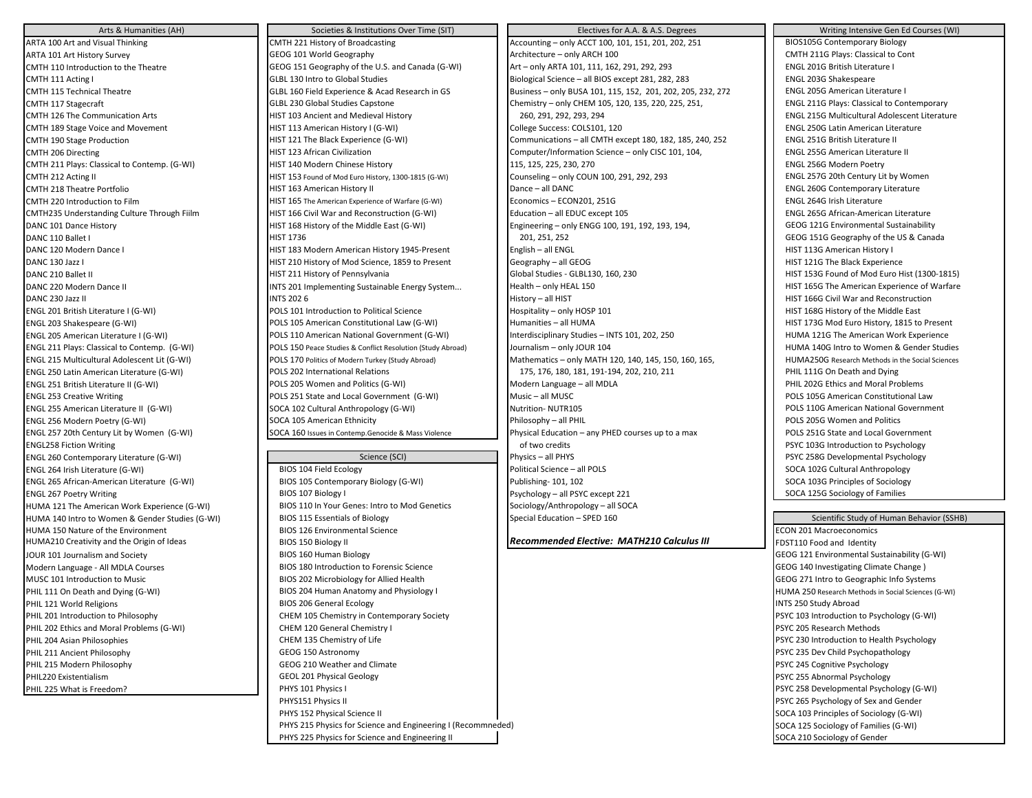HUMA 121 The American Work Experience (G-WI) BIOS 110 In Your Genes: Intro to Mod Genetics HUMA 150 Nature of the Environment BIOS 126 Environmental Science

Arts & Humanities (AH) Societies & Institutions Over Time (SIT) Electives for A.A. & A.S. Degrees Writing Intensive Gen Ed Courses (WI) ARTA 100 Art and Visual Thinking CMTH 221 History of Broadcasting CMTH 221 History of Broadcasting Accounting – only ACCT 100, 101, 151, 201, 202, 251 BIOS105G Contemporary Biology ARTA 101 Art History Survey Survey GEOG 101 World Geography Architecture – only ARCH 100 CMTH 211G Plays: Classical to Cont CMTH 110 Introduction to the Theatre GEOG 151 Geography of the U.S. and Canada (G-WI) Art – only ARTA 101, 111, 162, 291, 292, 293 ENGL 201G British Literature I CMTH 111 Acting I GLBL 130 Intro to Global Studies Biological Science – all BIOS except 281, 282, 283 CMTH 115 Technical Theatre GLBL 160 Field Experience & Acad Research in GS Business – only BUSA 101, 115, 152, 201, 202, 205, 232, 272 ENGL 205G American Literature I CMTH 117 Stagecraft Chemistry – Chemistry – only CHEM 105, 120, 135, 220, 225, 251, CHEM 105, 120, 135, 220, 225, 251, CMTH 126 The Communication Arts **HIST 103 Ancient and Medieval History** 260, 291, 292, 293, 294 260, 291, 292, 293, 294 ENGL 215G Multicultural Adolescent Literature CMTH 189 Stage Voice and Movement College and Movement College Latin American History I (G-WI) College Success: COLS101, 120 College Success: COLS101, 120 College Success: COLS101, 120 College Success: COLS101, 120 College CMTH 190 Stage Production **ENGL 251G British Literature II** HIST 121 The Black Experience (G-WI) Communications – all CMTH except 180, 182, 185, 240, 252 **ENGL 251G British Literature II** CMTH 206 Directing COME COMPUTER COMPUTER HIST 123 African Civilization Computer/Information Science – only CISC 101, 104, CMTH 211 Plays: Classical to Contemp. (G-WI) HIST 140 Modern Chinese History 115, 125, 225, 230, 270 ENGL 256G Modern Poetry CMTH 212 Acting II **HIST 153 Found of Mod Euro History, 1300-1815 (G-WI)** Counseling – only COUN 100, 291, 292, 293 CMTH 218 Theatre Portfolio HIST 163 American History II Dance – all DANC ENGL 260G Contemporary Literature CMTH 220 Introduction to Film HIST 165 The American Experience of Warfare (G-WI) Economics – ECON201, 251G ENGL 264G Irish Literature CMTH235 Understanding Culture Through Fiilm HIST 166 Civil War and Reconstruction (G-WI) Education – all EDUC except 105 ENGL 265G African-American Literature DANC 101 Dance History **Engineering – Only Engineering – only ENGG 100, 191, 192, 193, 194,** GEOG 121G Environmental Sustainability DANC 110 Ballet I **Example 201, 201, 201, 251, 252** 201, 251, 252 202, 252 202, 252 GEOG 151G Geography of the US & Canada DANC 120 Modern Dance I INST 183 Modern American History 1945-Present English – all ENGL HIST 113G American History I DANC 130 Jazz I HIST 210 History of Mod Science, 1859 to Present Geography – all GEOG HIST 121G The Black Experience DANC 210 Ballet II HIST 211 History of Pennsylvania Global Studies - GLBL130, 160, 230 HIST 153G Found of Mod Euro Hist (1300-1815) DANC 220 Modern Dance II INTS 201 Implementing Sustainable Energy System... Health – only HEAL 150 HIST 165G The American Experience of Warfare DANC 230 Jazz II INTS 2006 History – all HIST 166G Civil War and Reconstruction ENGL 201 British Literature I (G-WI) **POLS 101** Introduction to Political Science **Hospitality – only HOSP 101** HIST 168G History of the Middle East ENGL 203 Shakespeare (G-WI) **POLS 105 American Constitutional Law (G-WI)** Humanities – all HUMA **Humanities – all HUMA** HIST 173G Mod Euro History, 1815 to Present ENGL 205 American Literature I (G-WI) POLS 110 American National Government (G-WI) Interdisciplinary Studies – INTS 101, 202, 250 HUMA 121G The American Work Experience ENGL 211 Plays: Classical to Contemp. (G-WI) POLS 150 Peace Studies & Conflict Resolution (Study Abroad) Journalism – only JOUR 104 HUMA 140G Intro to Women & Gender Studies ENGL 215 Multicultural Adolescent Lit (G-WI) POLS 170 Politics of Modern Turkey (Study Abroad) Mathematics – only MATH 120, 140, 145, 150, 160, 165, HUMA250G Research Methods in the Social Sciences ENGL 250 Latin American Literature (G-WI) **POLS 202 International Relations** 175, 176, 180, 181, 191-194, 202, 210, 211 PHIL 111G On Death and Dying ENGL 251 British Literature II (G-WI) **POLS 205 Women and Politics (G-WI)** Modern Language – all MDLA PHIL 202G Ethics and Moral Problems ENGL 253 Creative Writing entertainment and Local Government (G-WI) Music – all MUSC POLS 105G American Constitutional Law ENGL 255 American Literature II (G-WI) SOCA 102 Cultural Anthropology (G-WI) Nutrition- NUTR105 POLS 110G American National Government ENGL 256 Modern Poetry (G-WI) SOCA 105 American Ethnicity Philosophy – all PHIL POLS 205G Women and Politics ENGL 257 20th Century Lit by Women (G-WI) SOCA 160 Issues in Contemp.Genocide & Mass Violence Physical Education – any PHED courses up to a max POLS 251G State and Local Government ENGL258 Fiction Writing **ENGL258 Fiction Writing State of two credits** PSYC 103G Introduction to Psychology ENGL 260 Contemporary Literature (G-WI) Science (SCI) Physics – all PHYS PSYC 258G Developmental Psychology ENGL 264 Irish Literature (G-WI) BIOS 104 Field Ecology Bolitical Science – all POLS Social Anthropology Bolitical Science – all POLS Social Anthropology

HUMA 140 Intro to Women & Gender Studies (G-WI) BIOS 115 Essentials of Biology Special Education – SPED 160 Scientific Study of Human Behavior (SSHB) Special Education – SPED 160 Scientific Study of Human Behavior (SSHB) HUMA210 Creativity and the Origin of Ideas **BIOS 150 Biology II BIOS 150 Biology II Recommended Elective: MATH210 Calculus III FIOST110 Food and Identity** JOUR 101 Journalism and Society BIOS 160 Human Biology GEOG 121 Environmental Sustainability (G-WI) Modern Language - All MDLA Courses **Exercise All MOS 180 Introduction to Forensic Science** GEOG 140 Investigating Climate Change ) MUSC 101 Introduction to Music **BIOS 202** Microbiology for Allied Health GEOG 271 Intro to Geographic Info Systems PHIL 111 On Death and Dying (G-WI) **BIOS 204 Human Anatomy and Physiology I** HUMA 250 Research Methods in Social Sciences (G-WI) PHIL 121 World Religions **Example 2012 12: A SIDS 206 General Ecology INTS 250 Study Abroad** INTS 250 Study Abroad PHIL 201 Introduction to Philosophy **CHEM 105 Chemistry in Contemporary Society** PSYC 103 Introduction to Psychology (G-WI) PHIL 202 Ethics and Moral Problems (G-WI) CHEM 120 General Chemistry I PSYC 205 Research Methods and Moral PSYC 205 Research Methods PHIL 204 Asian Philosophies examples and the CHEM 135 Chemistry of Life PSYC 230 Introduction to Health Psychology PHIL 211 Ancient Philosophy **CHIL Ancient Philosophy** PSYC 235 Dev Child Psychopathology **PSYC 235 Dev Child Psychopathology** PHIL 215 Modern Philosophy **GEOG 210** Weather and Climate **CHOCAL CONSUMERTIES AND RESERVENT OF A SET OF A SET OF A SET OF A SET OF A SET OF A SET OF A SET OF A SET OF A SET OF A SET OF A SET OF A SET OF A SET OF A SET OF** PHIL220 Existentialism example and the state of the GEOL 201 Physical Geology example and the state of the state of the SYC 255 Abnormal Psychology PHIL 225 What is Freedom? **PHYS 101 PHYS 101 Physics I** PHYS 101 Physics I PHYS 101 Physics I PHYS 101 Physics I PSYC 258 Developmental Psychology (G-WI) PHYS151 Physics II Physics II Provided a set of the Sex and Gender Allen Sex and Gender Allen Sex and Gender Allen Sex and Gender Allen Sex and Gender Allen Sex and Gender Allen Sex and Gender Allen Sex and Gender Allen Se PHYS 152 Physical Science II Sociology (G-WI) Sociology (G-WI) Sociology (G-WI) Sociology (G-WI) PHYS 215 Physics for Science and Engineering I (Recommneded) SOCA 125 Sociology of Families (G-WI) PHYS 225 Physics for Science and Engineering II SOCA 210 Sociology of Gender

ENGL 265 African-American Literature (G-WI) **BIOS 105 Contemporary Biology (G-WI)** Publishing- 101, 102 SOCA 103G Principles of Sociology (G-WI) ENGL 267 Poetry Writing COCA 125G Sociology of Families<br>HUMA 121 The American Work Experience (G-WI) BIOS 110 In Your Genes: Intro to Mod Genetics Sociology/Anthropology – all SOCA 11990 - all SOCA